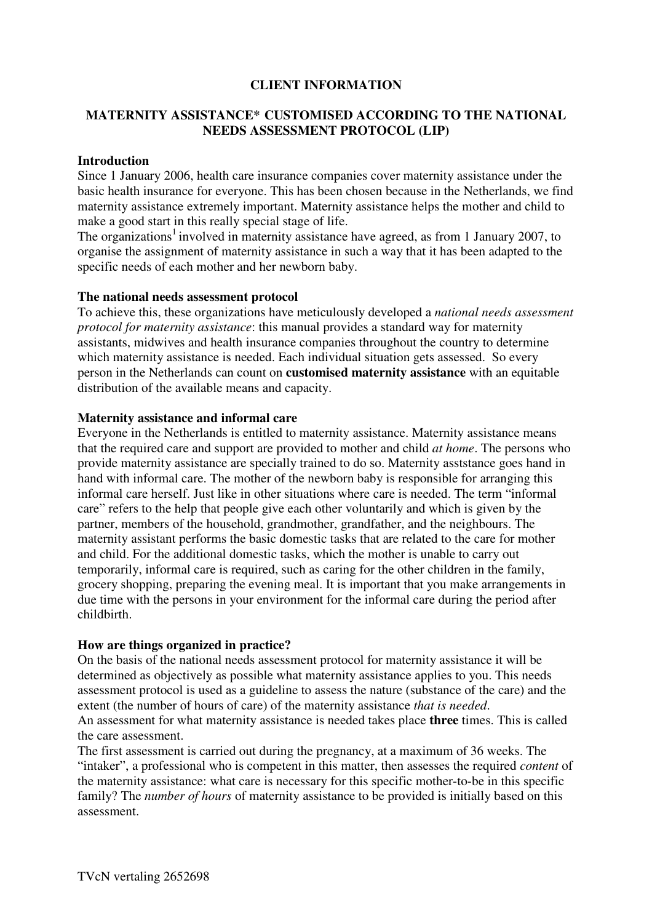# **CLIENT INFORMATION**

# **MATERNITY ASSISTANCE\* CUSTOMISED ACCORDING TO THE NATIONAL NEEDS ASSESSMENT PROTOCOL (LIP)**

### **Introduction**

Since 1 January 2006, health care insurance companies cover maternity assistance under the basic health insurance for everyone. This has been chosen because in the Netherlands, we find maternity assistance extremely important. Maternity assistance helps the mother and child to make a good start in this really special stage of life.

The organizations<sup>1</sup> involved in maternity assistance have agreed, as from 1 January 2007, to organise the assignment of maternity assistance in such a way that it has been adapted to the specific needs of each mother and her newborn baby.

#### **The national needs assessment protocol**

To achieve this, these organizations have meticulously developed a *national needs assessment protocol for maternity assistance*: this manual provides a standard way for maternity assistants, midwives and health insurance companies throughout the country to determine which maternity assistance is needed. Each individual situation gets assessed. So every person in the Netherlands can count on **customised maternity assistance** with an equitable distribution of the available means and capacity.

#### **Maternity assistance and informal care**

Everyone in the Netherlands is entitled to maternity assistance. Maternity assistance means that the required care and support are provided to mother and child *at home*. The persons who provide maternity assistance are specially trained to do so. Maternity asststance goes hand in hand with informal care. The mother of the newborn baby is responsible for arranging this informal care herself. Just like in other situations where care is needed. The term "informal care" refers to the help that people give each other voluntarily and which is given by the partner, members of the household, grandmother, grandfather, and the neighbours. The maternity assistant performs the basic domestic tasks that are related to the care for mother and child. For the additional domestic tasks, which the mother is unable to carry out temporarily, informal care is required, such as caring for the other children in the family, grocery shopping, preparing the evening meal. It is important that you make arrangements in due time with the persons in your environment for the informal care during the period after childbirth.

#### **How are things organized in practice?**

On the basis of the national needs assessment protocol for maternity assistance it will be determined as objectively as possible what maternity assistance applies to you. This needs assessment protocol is used as a guideline to assess the nature (substance of the care) and the extent (the number of hours of care) of the maternity assistance *that is needed*. An assessment for what maternity assistance is needed takes place **three** times. This is called

the care assessment.

The first assessment is carried out during the pregnancy, at a maximum of 36 weeks. The "intaker", a professional who is competent in this matter, then assesses the required *content* of the maternity assistance: what care is necessary for this specific mother-to-be in this specific family? The *number of hours* of maternity assistance to be provided is initially based on this assessment.